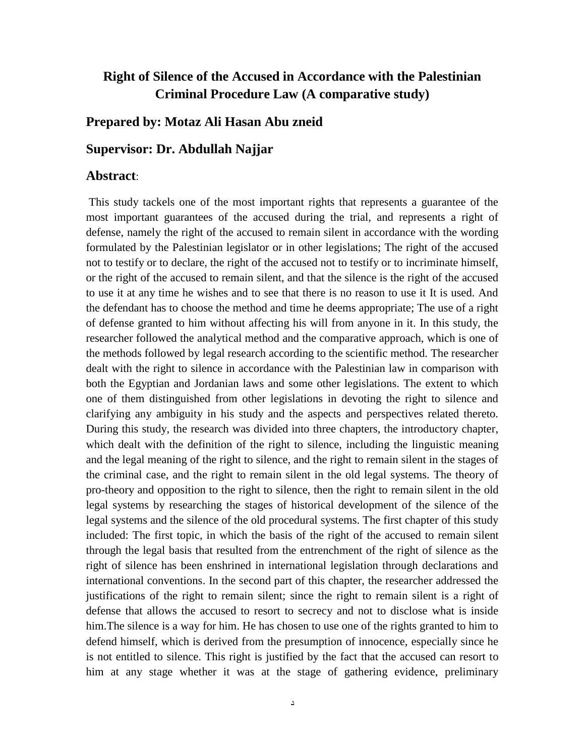## **Right of Silence of the Accused in Accordance with the Palestinian Criminal Procedure Law (A comparative study)**

## **Prepared by: Motaz Ali Hasan Abu zneid**

## **Supervisor: Dr. Abdullah Najjar**

## **Abstract**:

This study tackels one of the most important rights that represents a guarantee of the most important guarantees of the accused during the trial, and represents a right of defense, namely the right of the accused to remain silent in accordance with the wording formulated by the Palestinian legislator or in other legislations; The right of the accused not to testify or to declare, the right of the accused not to testify or to incriminate himself, or the right of the accused to remain silent, and that the silence is the right of the accused to use it at any time he wishes and to see that there is no reason to use it It is used. And the defendant has to choose the method and time he deems appropriate; The use of a right of defense granted to him without affecting his will from anyone in it. In this study, the researcher followed the analytical method and the comparative approach, which is one of the methods followed by legal research according to the scientific method. The researcher dealt with the right to silence in accordance with the Palestinian law in comparison with both the Egyptian and Jordanian laws and some other legislations. The extent to which one of them distinguished from other legislations in devoting the right to silence and clarifying any ambiguity in his study and the aspects and perspectives related thereto. During this study, the research was divided into three chapters, the introductory chapter, which dealt with the definition of the right to silence, including the linguistic meaning and the legal meaning of the right to silence, and the right to remain silent in the stages of the criminal case, and the right to remain silent in the old legal systems. The theory of pro-theory and opposition to the right to silence, then the right to remain silent in the old legal systems by researching the stages of historical development of the silence of the legal systems and the silence of the old procedural systems. The first chapter of this study included: The first topic, in which the basis of the right of the accused to remain silent through the legal basis that resulted from the entrenchment of the right of silence as the right of silence has been enshrined in international legislation through declarations and international conventions. In the second part of this chapter, the researcher addressed the justifications of the right to remain silent; since the right to remain silent is a right of defense that allows the accused to resort to secrecy and not to disclose what is inside him.The silence is a way for him. He has chosen to use one of the rights granted to him to defend himself, which is derived from the presumption of innocence, especially since he is not entitled to silence. This right is justified by the fact that the accused can resort to him at any stage whether it was at the stage of gathering evidence, preliminary